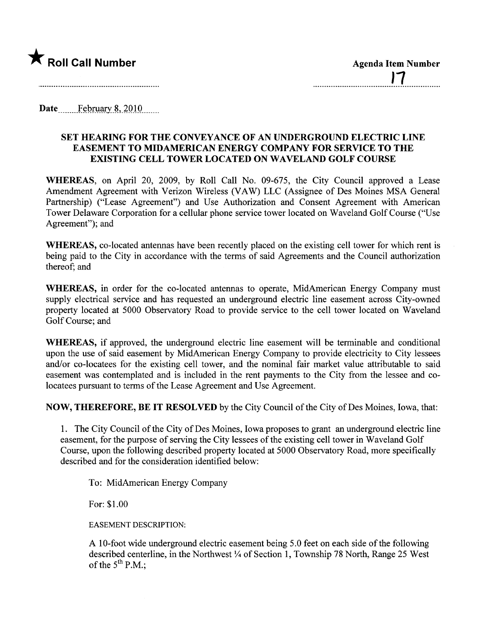

<u>| |</u>

Date ....m. .F~Rni.ary-.S-,)Q.HL\_\_ \_\_\_

## SET HEARING FOR THE CONVEYANCE OF AN UNDERGROUND ELECTRIC LINE EASEMENT TO MIDAMERICAN ENERGY COMPANY FOR SERVICE TO THE EXISTING CELL TOWER LOCATED ON WAVELAND GOLF COURSE

WHEREAS, on April 20, 2009, by Roll Call No. 09-675, the City Council approved a Lease Amendment Agreement with Verizon Wireless (VAW) LLC (Assignee of Des Moines MSA General Partnership) ("Lease Agreement") and Use Authorization and Consent Agreement with American Tower Delaware Corporation for a cellular phone service tower located on Waveland Golf Course ("Use Agreement"); and

WHEREAS, co-located antennas have been recently placed on the existing cell tower for which rent is being paid to the City in accordance with the terms of said Agreements and the Council authorization thereof; and

WHEREAS, in order for the co-located antennas to operate, MidAmerican Energy Company must supply electrical service and has requested an underground electric line easement across City-owned property located at 5000 Observatory Road to provide service to the cell tower located on Waveland Golf Course; and

WHEREAS, if approved, the underground electric line easement will be terminable and conditional upon the use of said easement by MidAmerican Energy Company to provide electricity to City lessees and/or co-locatees for the existing cell tower, and the nominal fair market value attributable to said easement was contemplated and is included in the rent payments to the City from the lessee and colocatees pursuant to terms of the Lease Agreement and Use Agreement.

NOW, THEREFORE, BE IT RESOLVED by the City Council of the City of Des Moines, Iowa, that:

1. The City Council of the City of Des Moines, Iowa proposes to grant an underground electric line easement, for the purpose of serving the City lessees of the existing cell tower in Waveland Golf Course, upon the following described property located at 5000 Observatory Road, more specifically described and for the consideration identified below:

To: MidAmerican Energy Company

For: \$1.00

EASEMENT DESCRIPTION:

A IO-foot wide underground electric easement being 5.0 feet on each side of the following described centerline, in the Northwest 1/4 of Section 1, Township 78 North, Range 25 West of the  $5^{th}$  P.M.: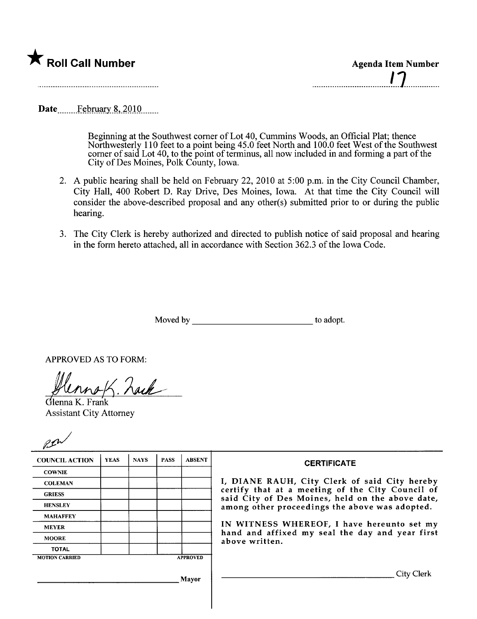

Date February 8, 2010

Beginning at the Southwest corner of Lot 40, Cummins Woods, an Official Plat; thence Northwesterly 110 feet to a point being 45.0 feet North and 100.0 feet West of the Southwest corner of said Lot 40, to the point of terminus, all now included in and forming a part of the City of Des Moines, Polk County, Iowa.

- 2. A public hearing shall be held on February 22, 2010 at 5:00 p.m. in the City Council Chamber, City Hall, 400 Robert D. Ray Drive, Des Moines, Iowa. At that time the City Council wil consider the above-described proposal and any other(s) submitted prior to or during the public hearing.
- 3. The City Clerk is hereby authorized and directed to publish notice of said proposal and hearing in the form hereto attached, all in accordance with Section 362.3 of the Iowa Code.

Moved by substitution of the adopt.

APPROVED AS TO FORM:

Lx. 'k~

Glenna K. Frank Assistant City Attorney

| <b>COUNCIL ACTION</b> | <b>YEAS</b> | <b>NAYS</b> | <b>PASS</b> | <b>ABSENT</b>   |                                                            |
|-----------------------|-------------|-------------|-------------|-----------------|------------------------------------------------------------|
| <b>COWNIE</b>         |             |             |             |                 |                                                            |
| <b>COLEMAN</b>        |             |             |             |                 | I, DIANE R/<br>certify that<br>said City of<br>among other |
| <b>GRIESS</b>         |             |             |             |                 |                                                            |
| <b>HENSLEY</b>        |             |             |             |                 |                                                            |
| <b>MAHAFFEY</b>       |             |             |             |                 |                                                            |
| <b>MEYER</b>          |             |             | IN WITNESS  |                 |                                                            |
| <b>MOORE</b>          |             |             |             |                 | hand and af:<br>above writter                              |
| <b>TOTAL</b>          |             |             |             |                 |                                                            |
| <b>MOTION CARRIED</b> |             |             |             | <b>APPROVED</b> |                                                            |

## **CERTIFICATE**

AUH, City Clerk of said City hereby at a meeting of the City Council of Des Moines, held on the above date, proceedings the above was adopted.

S WHEREOF, I have hereunto set my fixed my seal the day and year first above written.

Mayor | ————————————————————City Clerk